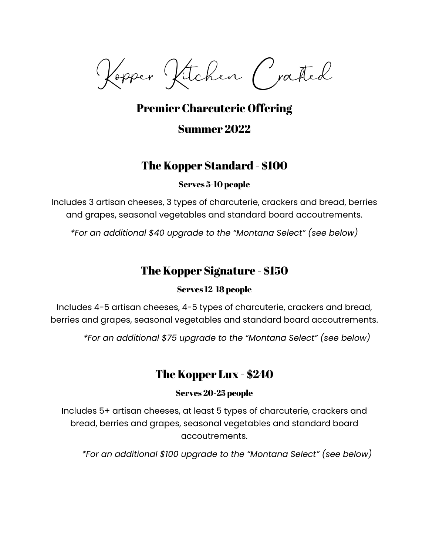Kopper Kitchen Crafted

# Premier Charcuterie Offering Summer 2022

### The Kopper Standard - \$100

### Serves 5-10 people

Includes 3 artisan cheeses, 3 types of charcuterie, crackers and bread, berries and grapes, seasonal vegetables and standard board accoutrements.

*\*For an additional \$40 upgrade to the "Montana Select" (see below)*

# The Kopper Signature - \$150

### Serves 12-18 people

Includes 4-5 artisan cheeses, 4-5 types of charcuterie, crackers and bread, berries and grapes, seasonal vegetables and standard board accoutrements.

*\*For an additional \$75 upgrade to the "Montana Select" (see below)*

### The Kopper Lux - \$240

### Serves 20-25 people

Includes 5+ artisan cheeses, at least 5 types of charcuterie, crackers and bread, berries and grapes, seasonal vegetables and standard board accoutrements.

*\*For an additional \$100 upgrade to the "Montana Select" (see below)*